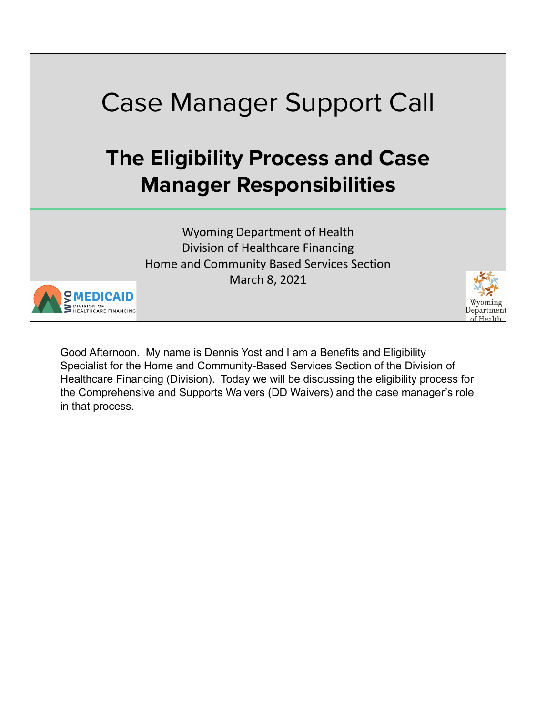

Good Afternoon. My name is Dennis Yost and I am a Benefits and Eligibility Specialist for the Home and Community-Based Services Section of the Division of Healthcare Financing (Division). Today we will be discussing the eligibility process for the Comprehensive and Supports Waivers (DD Waivers) and the case manager's role in that process.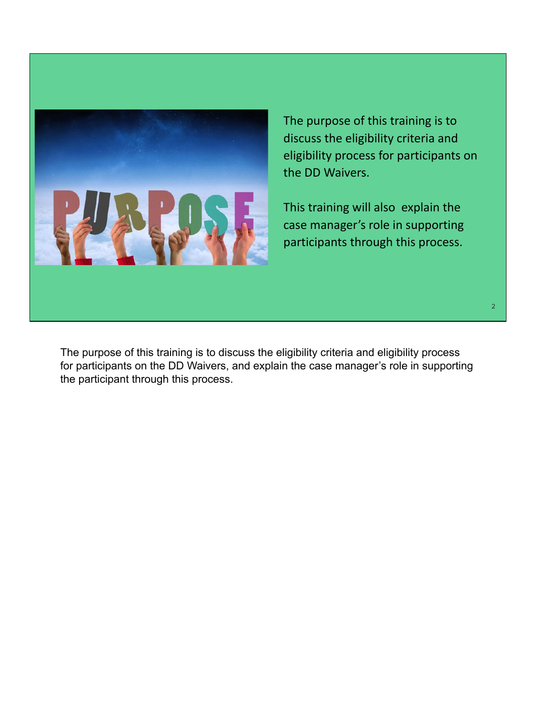

The purpose of this training is to discuss the eligibility criteria and eligibility process for participants on the DD Waivers.

This training will also explain the case manager's role in supporting participants through this process.

The purpose of this training is to discuss the eligibility criteria and eligibility process for participants on the DD Waivers, and explain the case manager's role in supporting the participant through this process.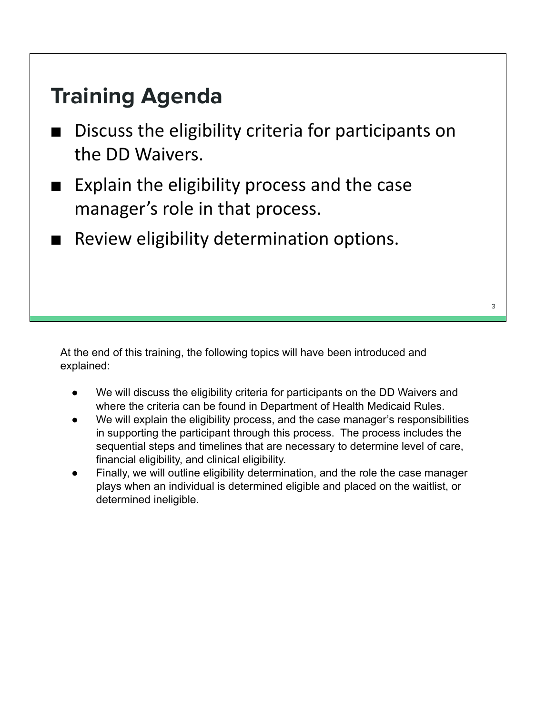## **Training Agenda**

- Discuss the eligibility criteria for participants on the DD Waivers.
- Explain the eligibility process and the case manager's role in that process.
- Review eligibility determination options.

At the end of this training, the following topics will have been introduced and explained:

- We will discuss the eligibility criteria for participants on the DD Waivers and where the criteria can be found in Department of Health Medicaid Rules.
- We will explain the eligibility process, and the case manager's responsibilities in supporting the participant through this process. The process includes the sequential steps and timelines that are necessary to determine level of care, financial eligibility, and clinical eligibility.
- Finally, we will outline eligibility determination, and the role the case manager plays when an individual is determined eligible and placed on the waitlist, or determined ineligible.

3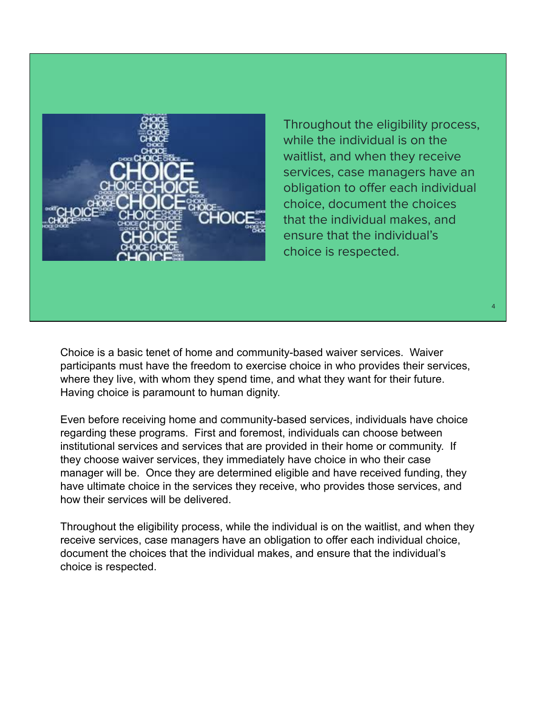

Throughout the eligibility process, while the individual is on the waitlist, and when they receive services, case managers have an obligation to offer each individual choice, document the choices that the individual makes, and ensure that the individual's choice is respected.

Choice is a basic tenet of home and community-based waiver services. Waiver participants must have the freedom to exercise choice in who provides their services, where they live, with whom they spend time, and what they want for their future. Having choice is paramount to human dignity.

Even before receiving home and community-based services, individuals have choice regarding these programs. First and foremost, individuals can choose between institutional services and services that are provided in their home or community. If they choose waiver services, they immediately have choice in who their case manager will be. Once they are determined eligible and have received funding, they have ultimate choice in the services they receive, who provides those services, and how their services will be delivered.

Throughout the eligibility process, while the individual is on the waitlist, and when they receive services, case managers have an obligation to offer each individual choice, document the choices that the individual makes, and ensure that the individual's choice is respected.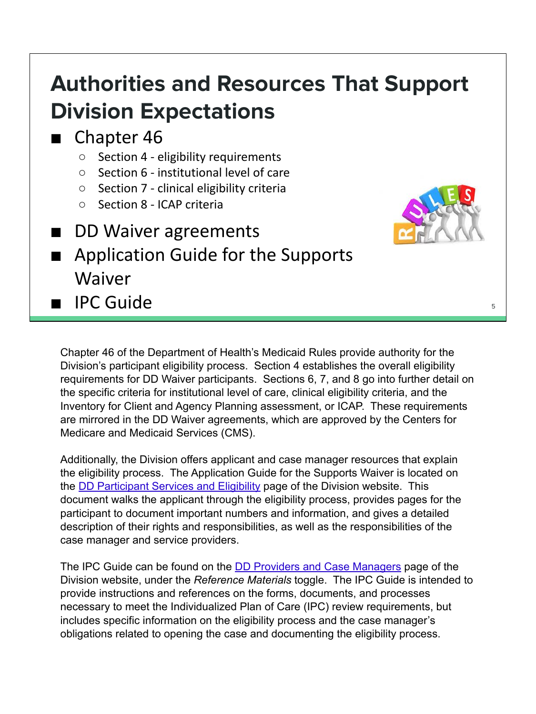## **Authorities and Resources That Support Division Expectations**

#### ■ Chapter 46

- Section 4 eligibility requirements
- Section 6 institutional level of care
- Section 7 clinical eligibility criteria
- Section 8 ICAP criteria
- DD Waiver agreements
- Application Guide for the Supports Waiver

■ IPC Guide <sup>5</sup>



Chapter 46 of the Department of Health's Medicaid Rules provide authority for the Division's participant eligibility process. Section 4 establishes the overall eligibility requirements for DD Waiver participants. Sections 6, 7, and 8 go into further detail on the specific criteria for institutional level of care, clinical eligibility criteria, and the Inventory for Client and Agency Planning assessment, or ICAP. These requirements are mirrored in the DD Waiver agreements, which are approved by the Centers for Medicare and Medicaid Services (CMS).

Additionally, the Division offers applicant and case manager resources that explain the eligibility process. The Application Guide for the Supports Waiver is located on the DD Participant Services and Eligibility page of the Division website. This document walks the applicant through the eligibility process, provides pages for the participant to document important numbers and information, and gives a detailed description of their rights and responsibilities, as well as the responsibilities of the case manager and service providers.

The IPC Guide can be found on the DD Providers and Case Managers page of the Division website, under the *Reference Materials* toggle. The IPC Guide is intended to provide instructions and references on the forms, documents, and processes necessary to meet the Individualized Plan of Care (IPC) review requirements, but includes specific information on the eligibility process and the case manager's obligations related to opening the case and documenting the eligibility process.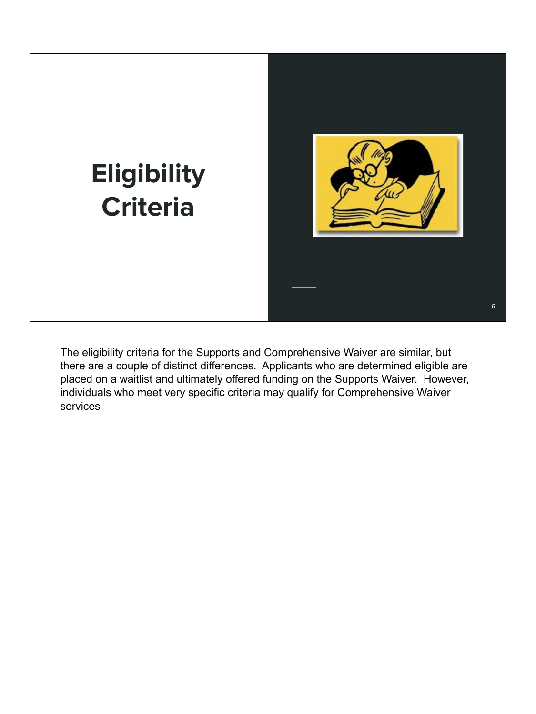

The eligibility criteria for the Supports and Comprehensive Waiver are similar, but there are a couple of distinct differences. Applicants who are determined eligible are placed on a waitlist and ultimately offered funding on the Supports Waiver. However, individuals who meet very specific criteria may qualify for Comprehensive Waiver services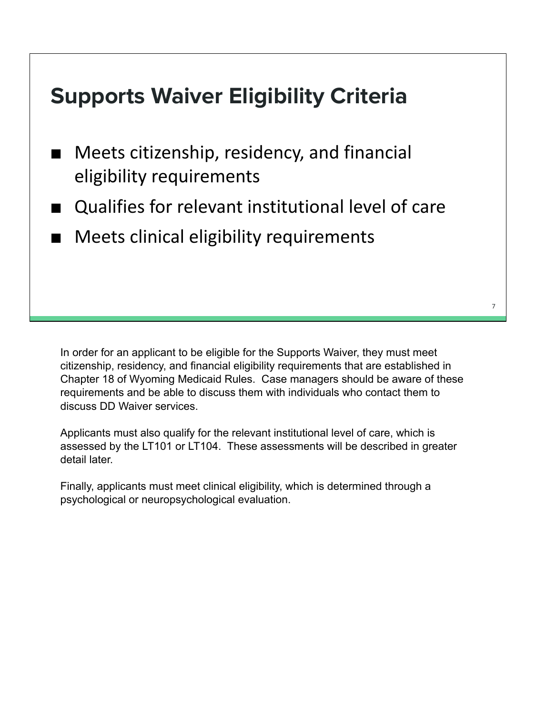## **Supports Waiver Eligibility Criteria**

- Meets citizenship, residency, and financial eligibility requirements
- Qualifies for relevant institutional level of care
- Meets clinical eligibility requirements

In order for an applicant to be eligible for the Supports Waiver, they must meet citizenship, residency, and financial eligibility requirements that are established in Chapter 18 of Wyoming Medicaid Rules. Case managers should be aware of these requirements and be able to discuss them with individuals who contact them to discuss DD Waiver services.

Applicants must also qualify for the relevant institutional level of care, which is assessed by the LT101 or LT104. These assessments will be described in greater detail later.

Finally, applicants must meet clinical eligibility, which is determined through a psychological or neuropsychological evaluation.

7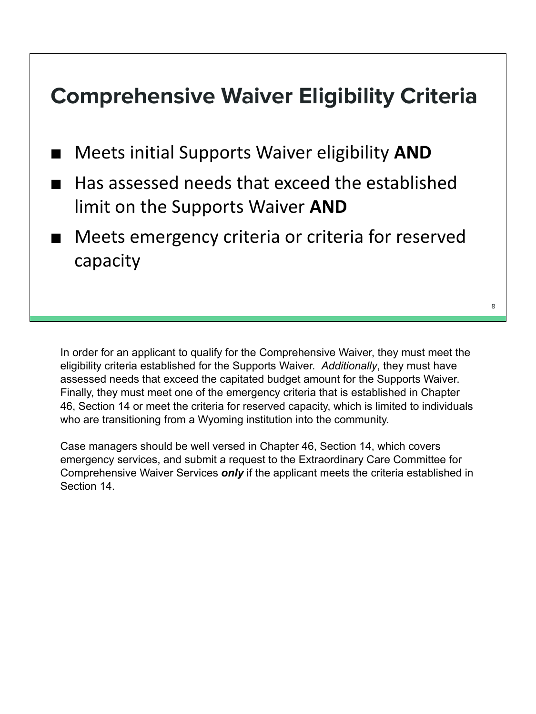## **Comprehensive Waiver Eligibility Criteria**

- Meets initial Supports Waiver eligibility **AND**
- Has assessed needs that exceed the established limit on the Supports Waiver **AND**
- Meets emergency criteria or criteria for reserved capacity

In order for an applicant to qualify for the Comprehensive Waiver, they must meet the eligibility criteria established for the Supports Waiver. *Additionally*, they must have assessed needs that exceed the capitated budget amount for the Supports Waiver. Finally, they must meet one of the emergency criteria that is established in Chapter 46, Section 14 or meet the criteria for reserved capacity, which is limited to individuals who are transitioning from a Wyoming institution into the community.

Case managers should be well versed in Chapter 46, Section 14, which covers emergency services, and submit a request to the Extraordinary Care Committee for Comprehensive Waiver Services *only* if the applicant meets the criteria established in Section 14.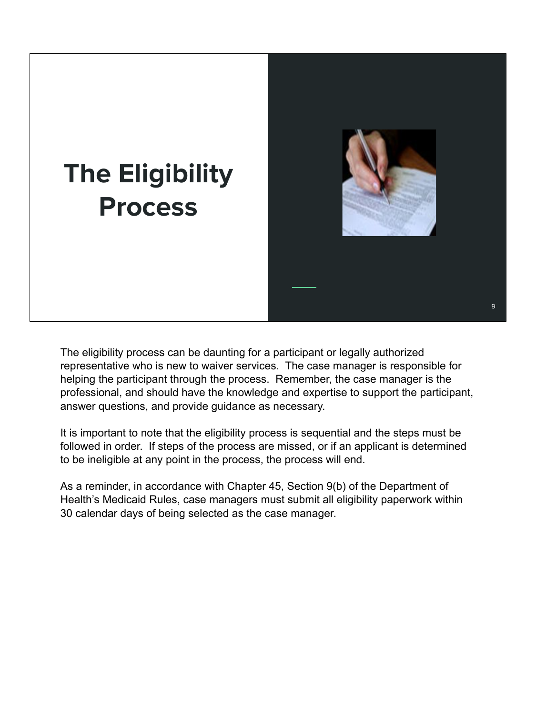

The eligibility process can be daunting for a participant or legally authorized representative who is new to waiver services. The case manager is responsible for helping the participant through the process. Remember, the case manager is the professional, and should have the knowledge and expertise to support the participant, answer questions, and provide guidance as necessary.

It is important to note that the eligibility process is sequential and the steps must be followed in order. If steps of the process are missed, or if an applicant is determined to be ineligible at any point in the process, the process will end.

As a reminder, in accordance with Chapter 45, Section 9(b) of the Department of Health's Medicaid Rules, case managers must submit all eligibility paperwork within 30 calendar days of being selected as the case manager.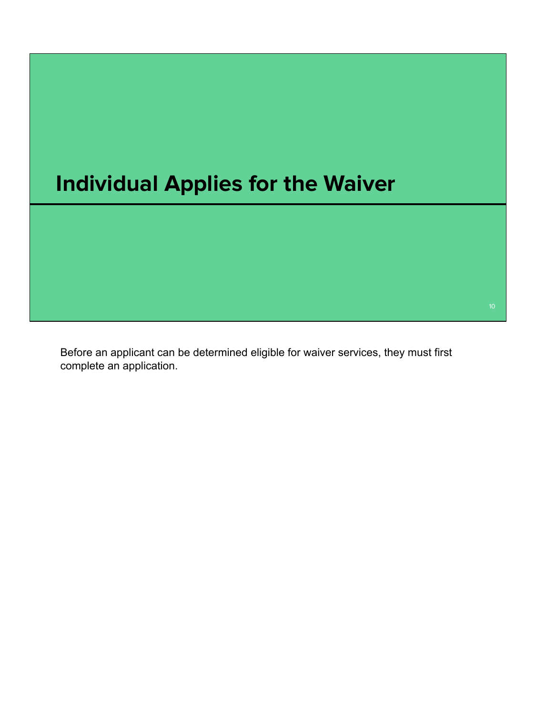

Before an applicant can be determined eligible for waiver services, they must first complete an application.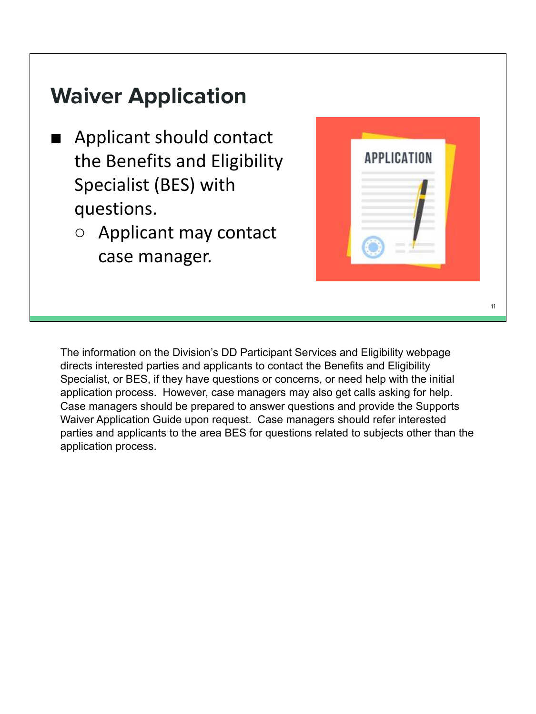## **Waiver Application**

- Applicant should contact the Benefits and Eligibility Specialist (BES) with questions.
	- Applicant may contact case manager.



The information on the Division's DD Participant Services and Eligibility webpage directs interested parties and applicants to contact the Benefits and Eligibility Specialist, or BES, if they have questions or concerns, or need help with the initial application process. However, case managers may also get calls asking for help. Case managers should be prepared to answer questions and provide the Supports Waiver Application Guide upon request. Case managers should refer interested parties and applicants to the area BES for questions related to subjects other than the application process.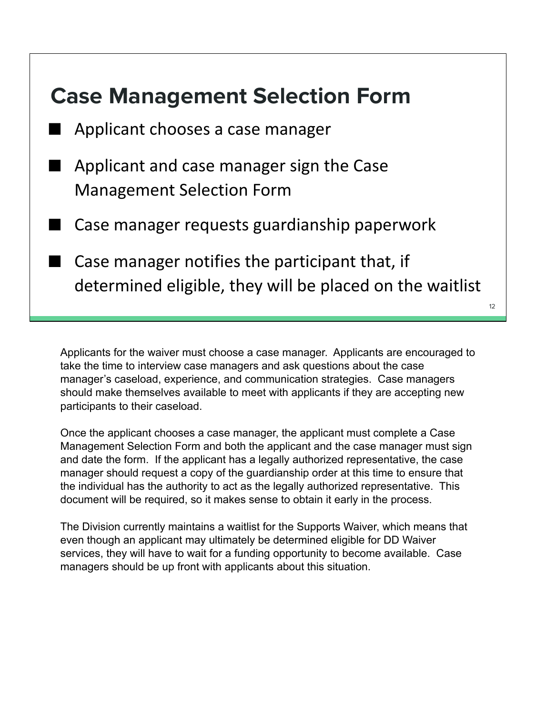

Applicants for the waiver must choose a case manager. Applicants are encouraged to take the time to interview case managers and ask questions about the case manager's caseload, experience, and communication strategies. Case managers should make themselves available to meet with applicants if they are accepting new participants to their caseload.

Once the applicant chooses a case manager, the applicant must complete a Case Management Selection Form and both the applicant and the case manager must sign and date the form. If the applicant has a legally authorized representative, the case manager should request a copy of the guardianship order at this time to ensure that the individual has the authority to act as the legally authorized representative. This document will be required, so it makes sense to obtain it early in the process.

The Division currently maintains a waitlist for the Supports Waiver, which means that even though an applicant may ultimately be determined eligible for DD Waiver services, they will have to wait for a funding opportunity to become available. Case managers should be up front with applicants about this situation.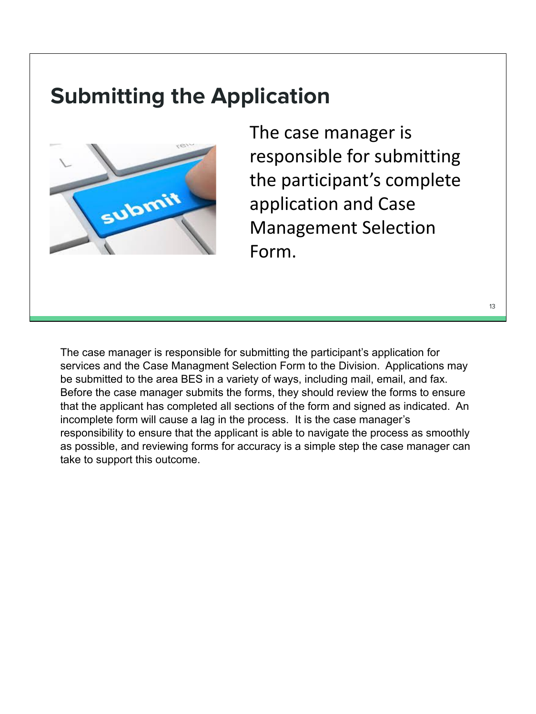## **Submitting the Application**



The case manager is responsible for submitting the participant's complete application and Case Management Selection Form.

13

The case manager is responsible for submitting the participant's application for services and the Case Managment Selection Form to the Division. Applications may be submitted to the area BES in a variety of ways, including mail, email, and fax. Before the case manager submits the forms, they should review the forms to ensure that the applicant has completed all sections of the form and signed as indicated. An incomplete form will cause a lag in the process. It is the case manager's responsibility to ensure that the applicant is able to navigate the process as smoothly as possible, and reviewing forms for accuracy is a simple step the case manager can take to support this outcome.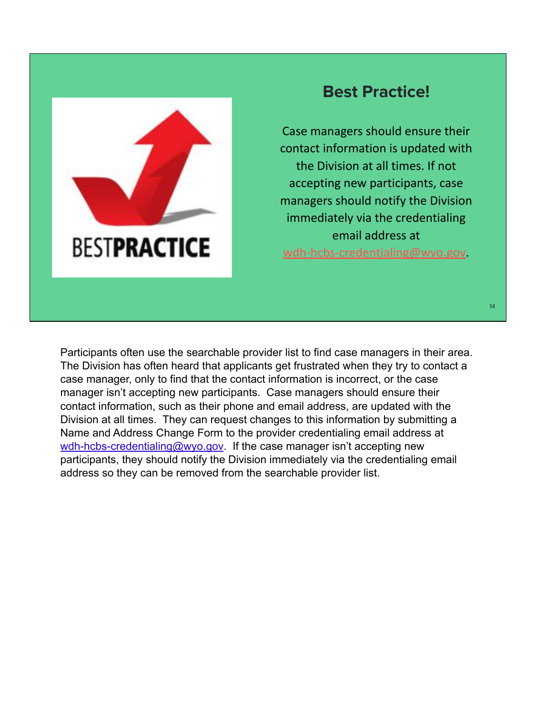

#### **Best Practice!**

Case managers should ensure their contact information is updated with the Division at all times. If not accepting new participants, case managers should notify the Division immediately via the credentialing email address at wdh-hcbs-credentialing@wyo.gov.

Participants often use the searchable provider list to find case managers in their area. The Division has often heard that applicants get frustrated when they try to contact a case manager, only to find that the contact information is incorrect, or the case manager isn't accepting new participants. Case managers should ensure their contact information, such as their phone and email address, are updated with the Division at all times. They can request changes to this information by submitting a Name and Address Change Form to the provider credentialing email address at wdh-hcbs-credentialing@wyo.gov. If the case manager isn't accepting new participants, they should notify the Division immediately via the credentialing email address so they can be removed from the searchable provider list.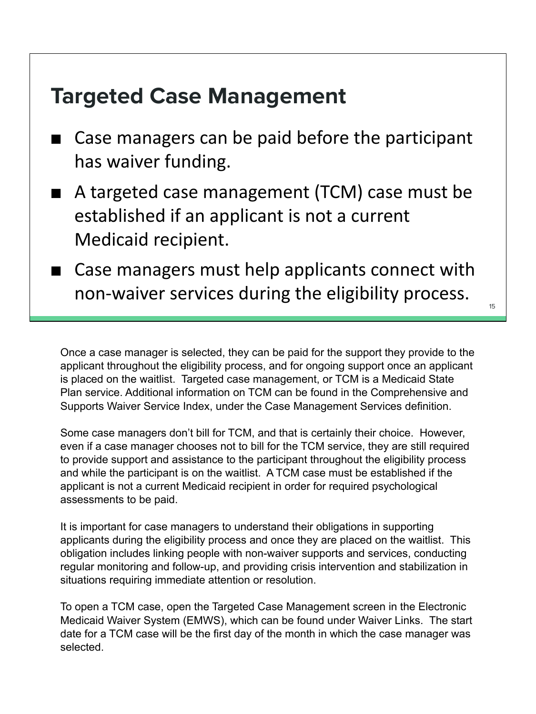## **Targeted Case Management**

- Case managers can be paid before the participant has waiver funding.
- A targeted case management (TCM) case must be established if an applicant is not a current Medicaid recipient.
- Case managers must help applicants connect with non-waiver services during the eligibility process.

Once a case manager is selected, they can be paid for the support they provide to the applicant throughout the eligibility process, and for ongoing support once an applicant is placed on the waitlist. Targeted case management, or TCM is a Medicaid State Plan service. Additional information on TCM can be found in the Comprehensive and Supports Waiver Service Index, under the Case Management Services definition.

Some case managers don't bill for TCM, and that is certainly their choice. However, even if a case manager chooses not to bill for the TCM service, they are still required to provide support and assistance to the participant throughout the eligibility process and while the participant is on the waitlist. A TCM case must be established if the applicant is not a current Medicaid recipient in order for required psychological assessments to be paid.

It is important for case managers to understand their obligations in supporting applicants during the eligibility process and once they are placed on the waitlist. This obligation includes linking people with non-waiver supports and services, conducting regular monitoring and follow-up, and providing crisis intervention and stabilization in situations requiring immediate attention or resolution.

To open a TCM case, open the Targeted Case Management screen in the Electronic Medicaid Waiver System (EMWS), which can be found under Waiver Links. The start date for a TCM case will be the first day of the month in which the case manager was selected.

15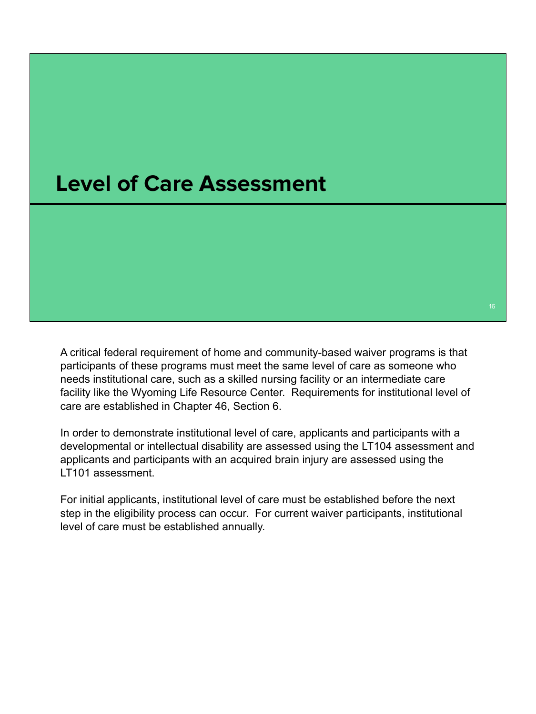### **Level of Care Assessment**

A critical federal requirement of home and community-based waiver programs is that participants of these programs must meet the same level of care as someone who needs institutional care, such as a skilled nursing facility or an intermediate care facility like the Wyoming Life Resource Center. Requirements for institutional level of care are established in Chapter 46, Section 6.

In order to demonstrate institutional level of care, applicants and participants with a developmental or intellectual disability are assessed using the LT104 assessment and applicants and participants with an acquired brain injury are assessed using the LT101 assessment.

For initial applicants, institutional level of care must be established before the next step in the eligibility process can occur. For current waiver participants, institutional level of care must be established annually.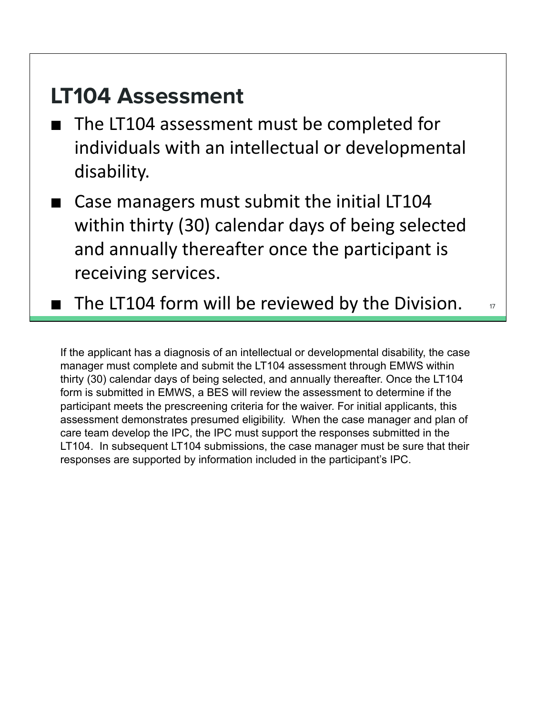## **LT104 Assessment**

- The LT104 assessment must be completed for individuals with an intellectual or developmental disability.
- Case managers must submit the initial LT104 within thirty (30) calendar days of being selected and annually thereafter once the participant is receiving services.
- $\blacksquare$  The LT104 form will be reviewed by the Division.  $\blacksquare$

If the applicant has a diagnosis of an intellectual or developmental disability, the case manager must complete and submit the LT104 assessment through EMWS within thirty (30) calendar days of being selected, and annually thereafter. Once the LT104 form is submitted in EMWS, a BES will review the assessment to determine if the participant meets the prescreening criteria for the waiver. For initial applicants, this assessment demonstrates presumed eligibility. When the case manager and plan of care team develop the IPC, the IPC must support the responses submitted in the LT104. In subsequent LT104 submissions, the case manager must be sure that their responses are supported by information included in the participant's IPC.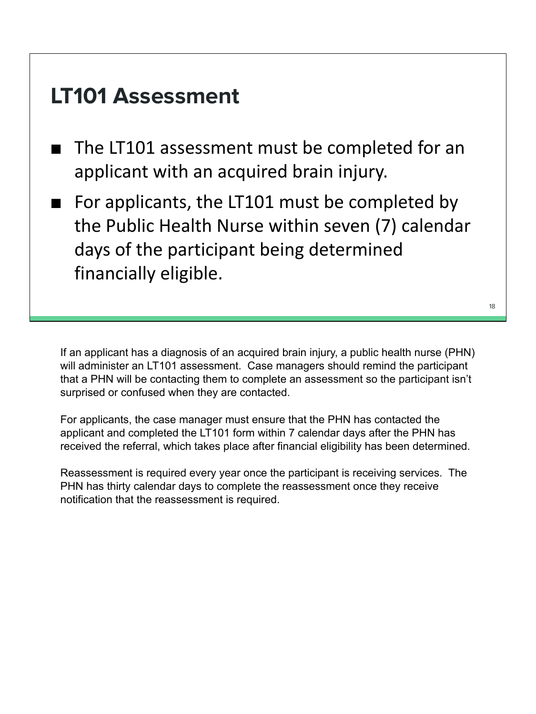## **LT101 Assessment**

- The LT101 assessment must be completed for an applicant with an acquired brain injury.
- For applicants, the LT101 must be completed by the Public Health Nurse within seven (7) calendar days of the participant being determined financially eligible.

If an applicant has a diagnosis of an acquired brain injury, a public health nurse (PHN) will administer an LT101 assessment. Case managers should remind the participant that a PHN will be contacting them to complete an assessment so the participant isn't surprised or confused when they are contacted.

For applicants, the case manager must ensure that the PHN has contacted the applicant and completed the LT101 form within 7 calendar days after the PHN has received the referral, which takes place after financial eligibility has been determined.

Reassessment is required every year once the participant is receiving services. The PHN has thirty calendar days to complete the reassessment once they receive notification that the reassessment is required.

18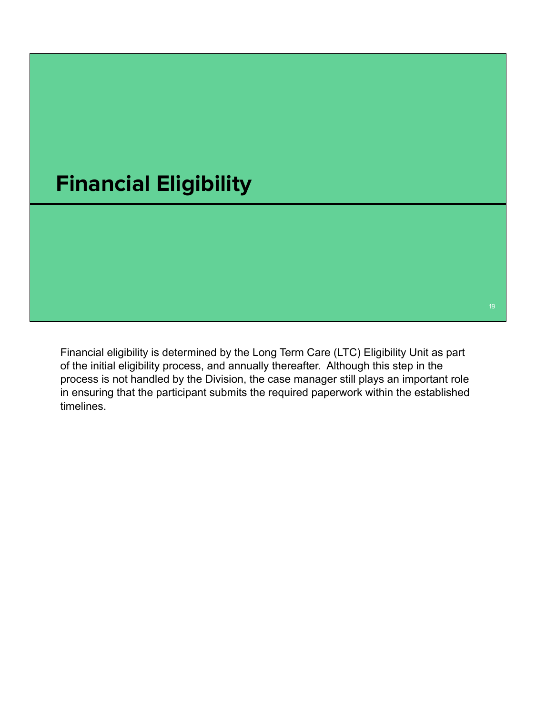

Financial eligibility is determined by the Long Term Care (LTC) Eligibility Unit as part of the initial eligibility process, and annually thereafter. Although this step in the process is not handled by the Division, the case manager still plays an important role in ensuring that the participant submits the required paperwork within the established timelines.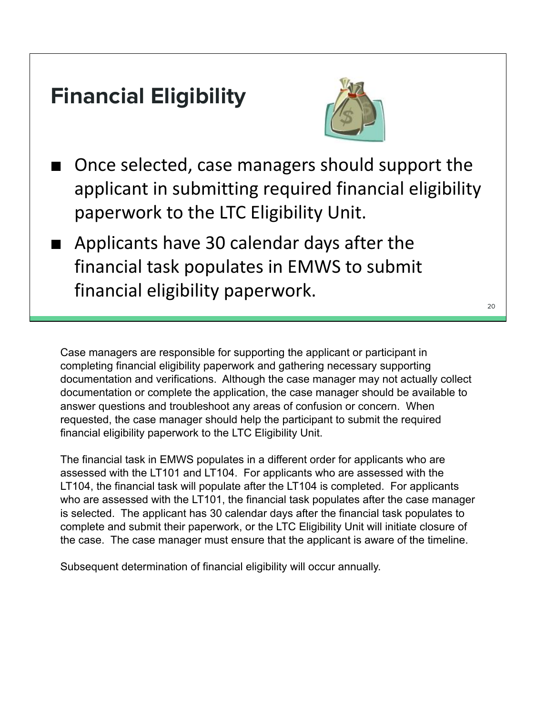## **Financial Eligibility**



- Once selected, case managers should support the applicant in submitting required financial eligibility paperwork to the LTC Eligibility Unit.
- Applicants have 30 calendar days after the financial task populates in EMWS to submit financial eligibility paperwork.

Case managers are responsible for supporting the applicant or participant in completing financial eligibility paperwork and gathering necessary supporting documentation and verifications. Although the case manager may not actually collect documentation or complete the application, the case manager should be available to answer questions and troubleshoot any areas of confusion or concern. When requested, the case manager should help the participant to submit the required financial eligibility paperwork to the LTC Eligibility Unit.

The financial task in EMWS populates in a different order for applicants who are assessed with the LT101 and LT104. For applicants who are assessed with the LT104, the financial task will populate after the LT104 is completed. For applicants who are assessed with the LT101, the financial task populates after the case manager is selected. The applicant has 30 calendar days after the financial task populates to complete and submit their paperwork, or the LTC Eligibility Unit will initiate closure of the case. The case manager must ensure that the applicant is aware of the timeline.

Subsequent determination of financial eligibility will occur annually.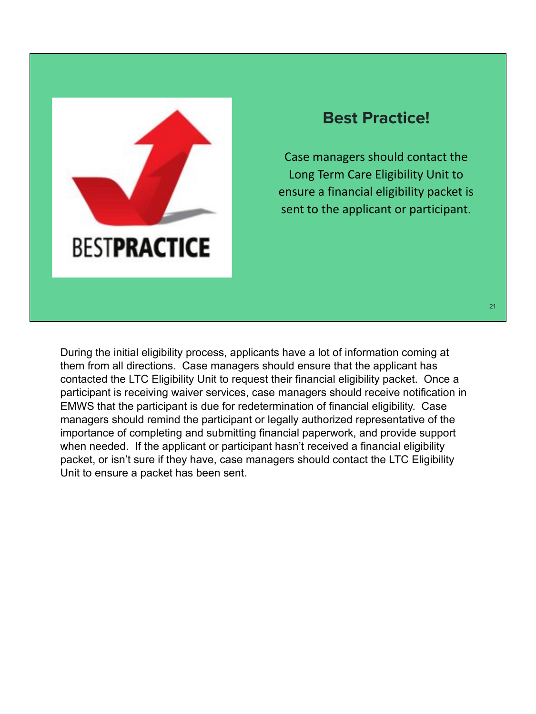

#### **Best Practice!**

Case managers should contact the Long Term Care Eligibility Unit to ensure a financial eligibility packet is sent to the applicant or participant.

During the initial eligibility process, applicants have a lot of information coming at them from all directions. Case managers should ensure that the applicant has contacted the LTC Eligibility Unit to request their financial eligibility packet. Once a participant is receiving waiver services, case managers should receive notification in EMWS that the participant is due for redetermination of financial eligibility. Case managers should remind the participant or legally authorized representative of the importance of completing and submitting financial paperwork, and provide support when needed. If the applicant or participant hasn't received a financial eligibility packet, or isn't sure if they have, case managers should contact the LTC Eligibility Unit to ensure a packet has been sent.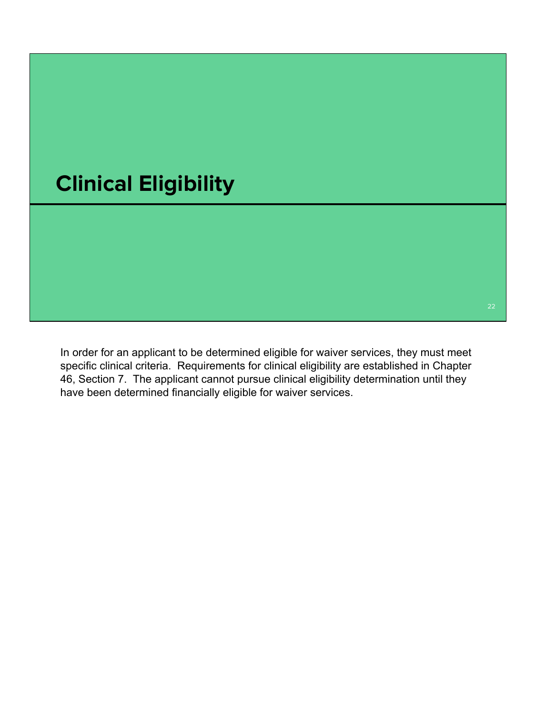

In order for an applicant to be determined eligible for waiver services, they must meet specific clinical criteria. Requirements for clinical eligibility are established in Chapter 46, Section 7. The applicant cannot pursue clinical eligibility determination until they have been determined financially eligible for waiver services.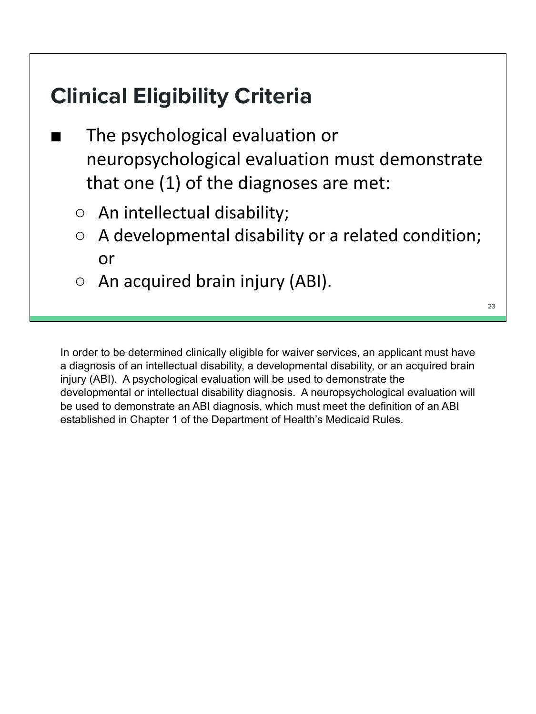## **Clinical Eligibility Criteria**

- The psychological evaluation or neuropsychological evaluation must demonstrate that one (1) of the diagnoses are met:
	- An intellectual disability;
	- A developmental disability or a related condition; or
	- $\circ$  An acquired brain injury (ABI).

23

In order to be determined clinically eligible for waiver services, an applicant must have a diagnosis of an intellectual disability, a developmental disability, or an acquired brain injury (ABI). A psychological evaluation will be used to demonstrate the developmental or intellectual disability diagnosis. A neuropsychological evaluation will be used to demonstrate an ABI diagnosis, which must meet the definition of an ABI established in Chapter 1 of the Department of Health's Medicaid Rules.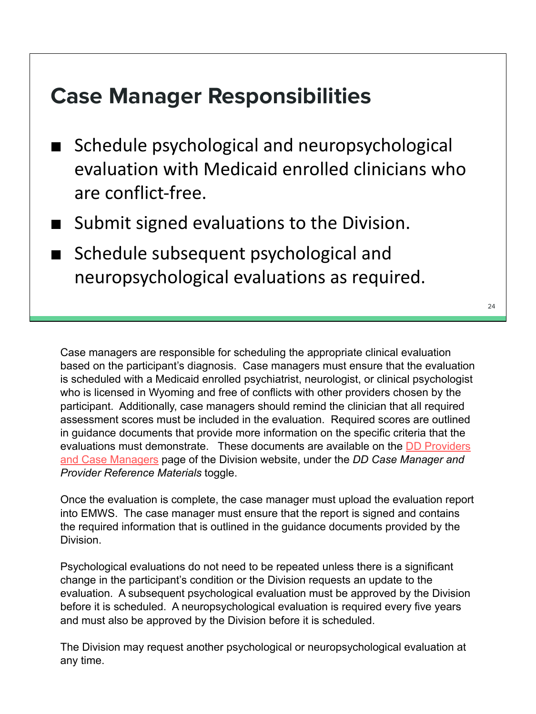## **Case Manager Responsibilities**

- Schedule psychological and neuropsychological evaluation with Medicaid enrolled clinicians who are conflict-free.
- Submit signed evaluations to the Division.
- Schedule subsequent psychological and neuropsychological evaluations as required.

Case managers are responsible for scheduling the appropriate clinical evaluation based on the participant's diagnosis. Case managers must ensure that the evaluation is scheduled with a Medicaid enrolled psychiatrist, neurologist, or clinical psychologist who is licensed in Wyoming and free of conflicts with other providers chosen by the participant. Additionally, case managers should remind the clinician that all required assessment scores must be included in the evaluation. Required scores are outlined in guidance documents that provide more information on the specific criteria that the evaluations must demonstrate. These documents are available on the DD Providers and Case Managers page of the Division website, under the *DD Case Manager and Provider Reference Materials* toggle.

Once the evaluation is complete, the case manager must upload the evaluation report into EMWS. The case manager must ensure that the report is signed and contains the required information that is outlined in the guidance documents provided by the Division.

Psychological evaluations do not need to be repeated unless there is a significant change in the participant's condition or the Division requests an update to the evaluation. A subsequent psychological evaluation must be approved by the Division before it is scheduled. A neuropsychological evaluation is required every five years and must also be approved by the Division before it is scheduled.

The Division may request another psychological or neuropsychological evaluation at any time.

 $24$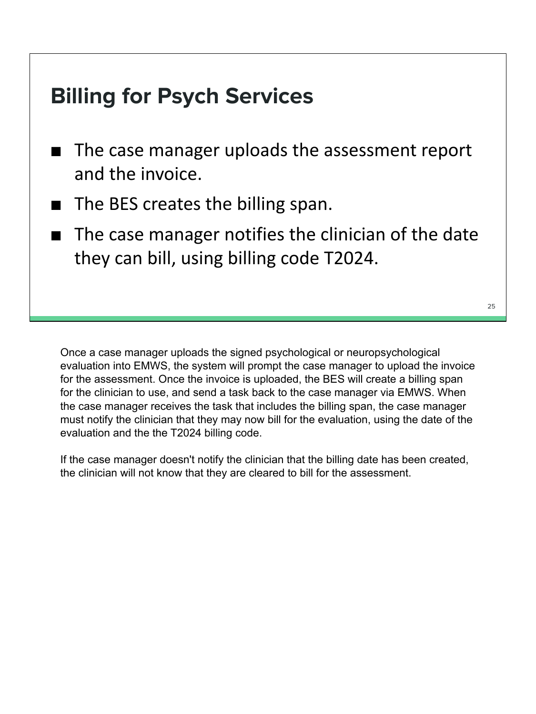## **Billing for Psych Services**

- The case manager uploads the assessment report and the invoice.
- The BES creates the billing span.
- The case manager notifies the clinician of the date they can bill, using billing code T2024.

Once a case manager uploads the signed psychological or neuropsychological evaluation into EMWS, the system will prompt the case manager to upload the invoice for the assessment. Once the invoice is uploaded, the BES will create a billing span for the clinician to use, and send a task back to the case manager via EMWS. When the case manager receives the task that includes the billing span, the case manager must notify the clinician that they may now bill for the evaluation, using the date of the evaluation and the the T2024 billing code.

If the case manager doesn't notify the clinician that the billing date has been created, the clinician will not know that they are cleared to bill for the assessment.

 $25$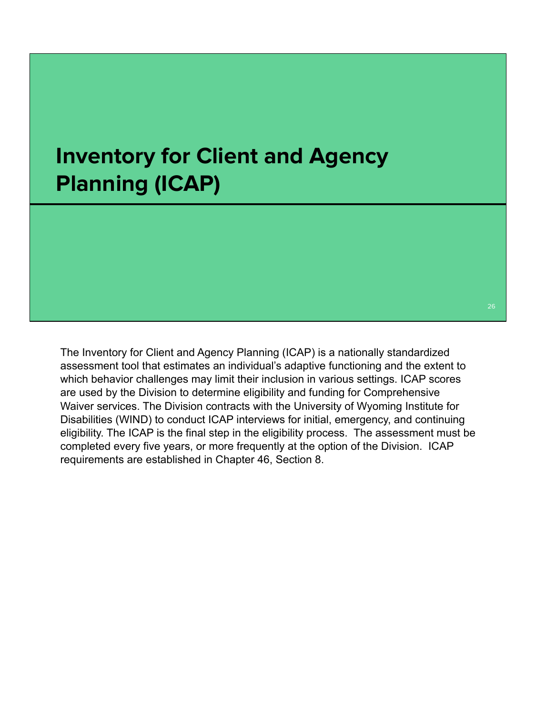## **Inventory for Client and Agency Planning (ICAP)**

The Inventory for Client and Agency Planning (ICAP) is a nationally standardized assessment tool that estimates an individual's adaptive functioning and the extent to which behavior challenges may limit their inclusion in various settings. ICAP scores are used by the Division to determine eligibility and funding for Comprehensive Waiver services. The Division contracts with the University of Wyoming Institute for Disabilities (WIND) to conduct ICAP interviews for initial, emergency, and continuing eligibility. The ICAP is the final step in the eligibility process. The assessment must be completed every five years, or more frequently at the option of the Division. ICAP requirements are established in Chapter 46, Section 8.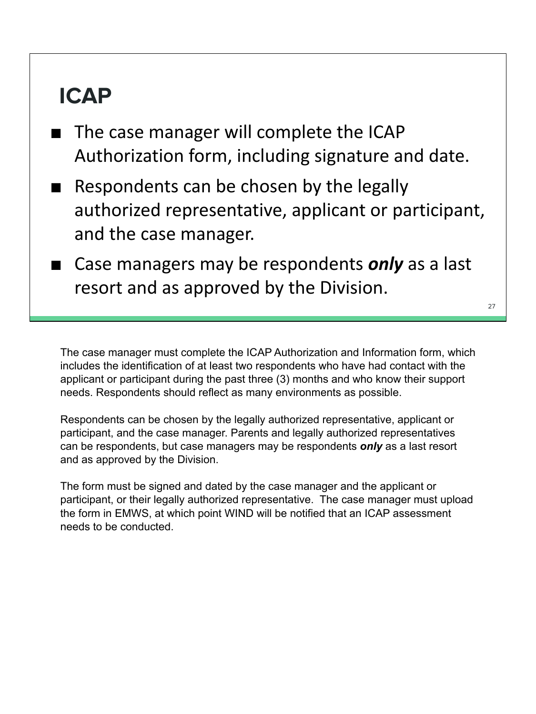## **ICAP**

- The case manager will complete the ICAP Authorization form, including signature and date.
- Respondents can be chosen by the legally authorized representative, applicant or participant, and the case manager.
- Case managers may be respondents *only* as a last resort and as approved by the Division.

27

The case manager must complete the ICAP Authorization and Information form, which includes the identification of at least two respondents who have had contact with the applicant or participant during the past three (3) months and who know their support needs. Respondents should reflect as many environments as possible.

Respondents can be chosen by the legally authorized representative, applicant or participant, and the case manager. Parents and legally authorized representatives can be respondents, but case managers may be respondents *only* as a last resort and as approved by the Division.

The form must be signed and dated by the case manager and the applicant or participant, or their legally authorized representative. The case manager must upload the form in EMWS, at which point WIND will be notified that an ICAP assessment needs to be conducted.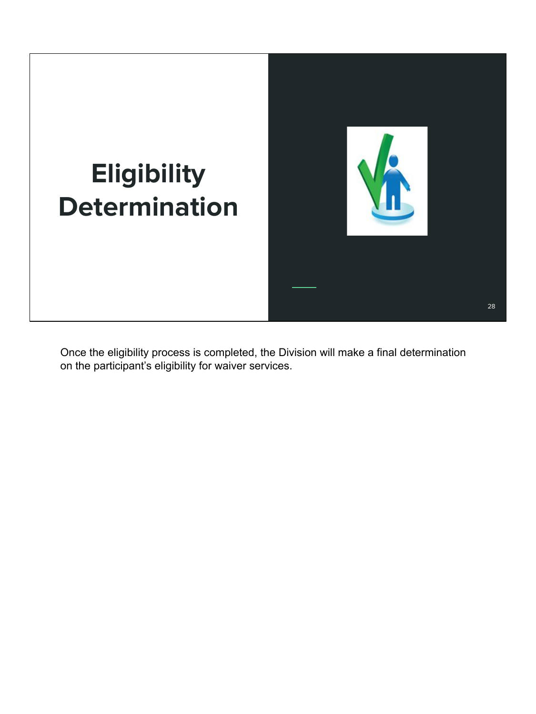

Once the eligibility process is completed, the Division will make a final determination on the participant's eligibility for waiver services.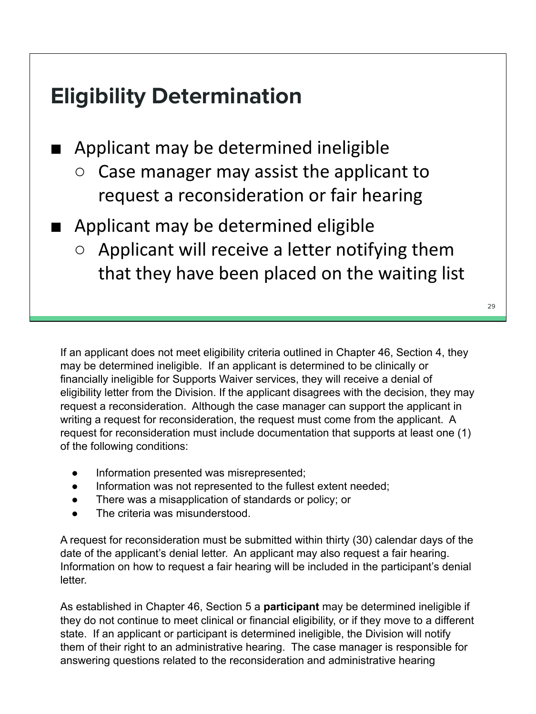## **Eligibility Determination**

■ Applicant may be determined ineligible

- Case manager may assist the applicant to request a reconsideration or fair hearing
- Applicant may be determined eligible
	- $\circ$  Applicant will receive a letter notifying them that they have been placed on the waiting list

If an applicant does not meet eligibility criteria outlined in Chapter 46, Section 4, they may be determined ineligible. If an applicant is determined to be clinically or financially ineligible for Supports Waiver services, they will receive a denial of eligibility letter from the Division. If the applicant disagrees with the decision, they may request a reconsideration. Although the case manager can support the applicant in writing a request for reconsideration, the request must come from the applicant. A request for reconsideration must include documentation that supports at least one (1) of the following conditions:

- Information presented was misrepresented;
- Information was not represented to the fullest extent needed;
- There was a misapplication of standards or policy; or
- The criteria was misunderstood.

A request for reconsideration must be submitted within thirty (30) calendar days of the date of the applicant's denial letter. An applicant may also request a fair hearing. Information on how to request a fair hearing will be included in the participant's denial letter.

As established in Chapter 46, Section 5 a **participant** may be determined ineligible if they do not continue to meet clinical or financial eligibility, or if they move to a different state. If an applicant or participant is determined ineligible, the Division will notify them of their right to an administrative hearing. The case manager is responsible for answering questions related to the reconsideration and administrative hearing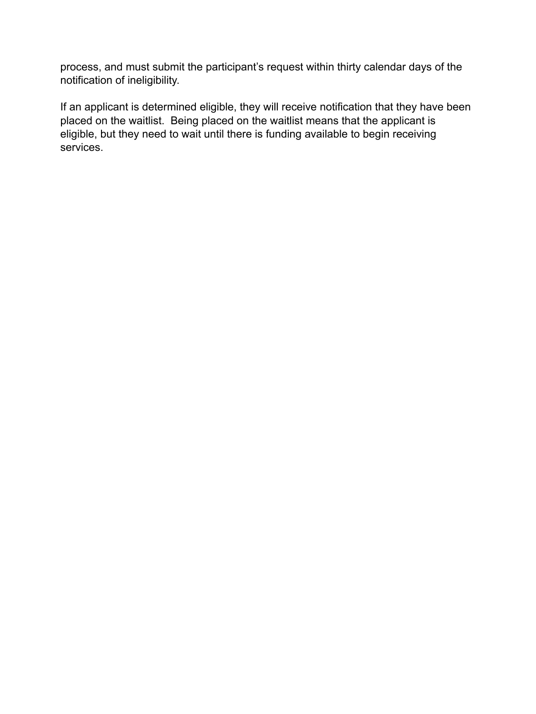process, and must submit the participant's request within thirty calendar days of the notification of ineligibility.

If an applicant is determined eligible, they will receive notification that they have been placed on the waitlist. Being placed on the waitlist means that the applicant is eligible, but they need to wait until there is funding available to begin receiving services.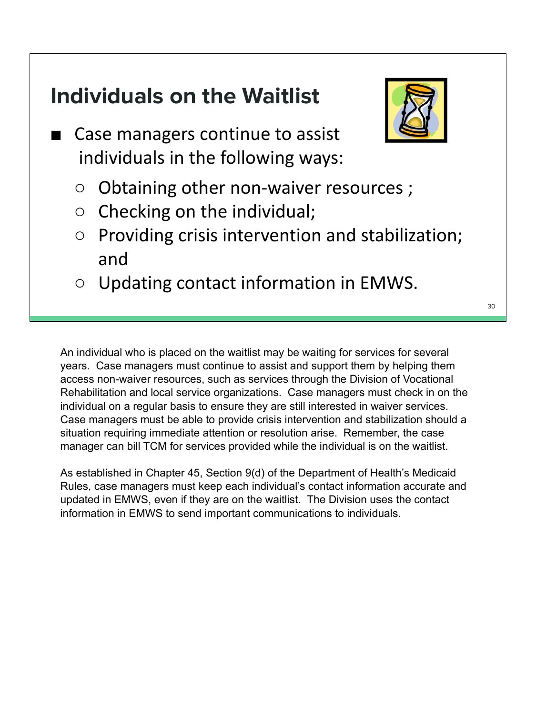## **Individuals on the Waitlist**

- Case managers continue to assist individuals in the following ways:
	- Obtaining other non-waiver resources ;
	- $\circ$  Checking on the individual;
	- Providing crisis intervention and stabilization; and
	- Updating contact information in EMWS.

An individual who is placed on the waitlist may be waiting for services for several years. Case managers must continue to assist and support them by helping them access non-waiver resources, such as services through the Division of Vocational Rehabilitation and local service organizations. Case managers must check in on the individual on a regular basis to ensure they are still interested in waiver services. Case managers must be able to provide crisis intervention and stabilization should a situation requiring immediate attention or resolution arise. Remember, the case manager can bill TCM for services provided while the individual is on the waitlist.

As established in Chapter 45, Section 9(d) of the Department of Health's Medicaid Rules, case managers must keep each individual's contact information accurate and updated in EMWS, even if they are on the waitlist. The Division uses the contact information in EMWS to send important communications to individuals.

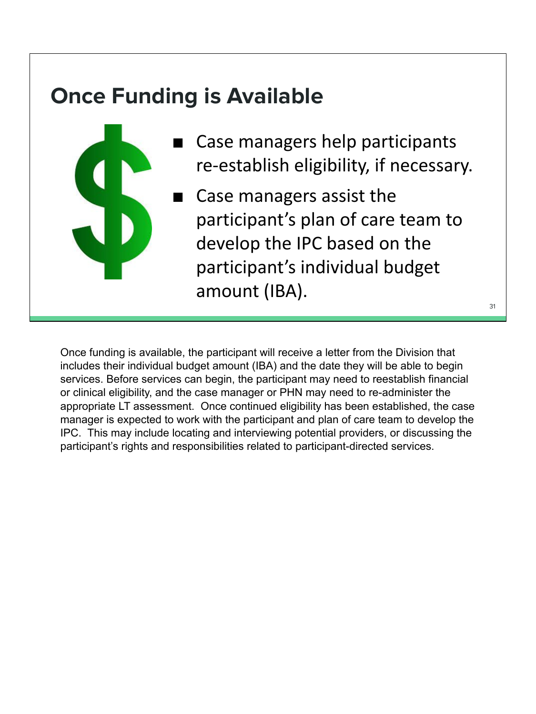## **Once Funding is Available**



- Case managers help participants re-establish eligibility, if necessary.
- Case managers assist the participant's plan of care team to develop the IPC based on the participant's individual budget amount (IBA).

31

Once funding is available, the participant will receive a letter from the Division that includes their individual budget amount (IBA) and the date they will be able to begin services. Before services can begin, the participant may need to reestablish financial or clinical eligibility, and the case manager or PHN may need to re-administer the appropriate LT assessment. Once continued eligibility has been established, the case manager is expected to work with the participant and plan of care team to develop the IPC. This may include locating and interviewing potential providers, or discussing the participant's rights and responsibilities related to participant-directed services.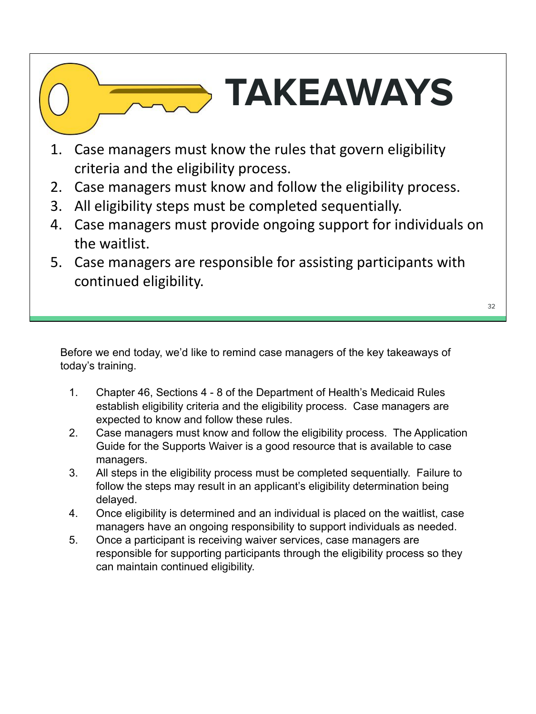# **TAKEAWAYS**

- 1. Case managers must know the rules that govern eligibility criteria and the eligibility process.
- 2. Case managers must know and follow the eligibility process.
- 3. All eligibility steps must be completed sequentially.
- 4. Case managers must provide ongoing support for individuals on the waitlist.
- 5. Case managers are responsible for assisting participants with continued eligibility.

Before we end today, we'd like to remind case managers of the key takeaways of today's training.

- 1. Chapter 46, Sections 4 8 of the Department of Health's Medicaid Rules establish eligibility criteria and the eligibility process. Case managers are expected to know and follow these rules.
- 2. Case managers must know and follow the eligibility process. The Application Guide for the Supports Waiver is a good resource that is available to case managers.
- 3. All steps in the eligibility process must be completed sequentially. Failure to follow the steps may result in an applicant's eligibility determination being delayed.
- 4. Once eligibility is determined and an individual is placed on the waitlist, case managers have an ongoing responsibility to support individuals as needed.
- 5. Once a participant is receiving waiver services, case managers are responsible for supporting participants through the eligibility process so they can maintain continued eligibility.